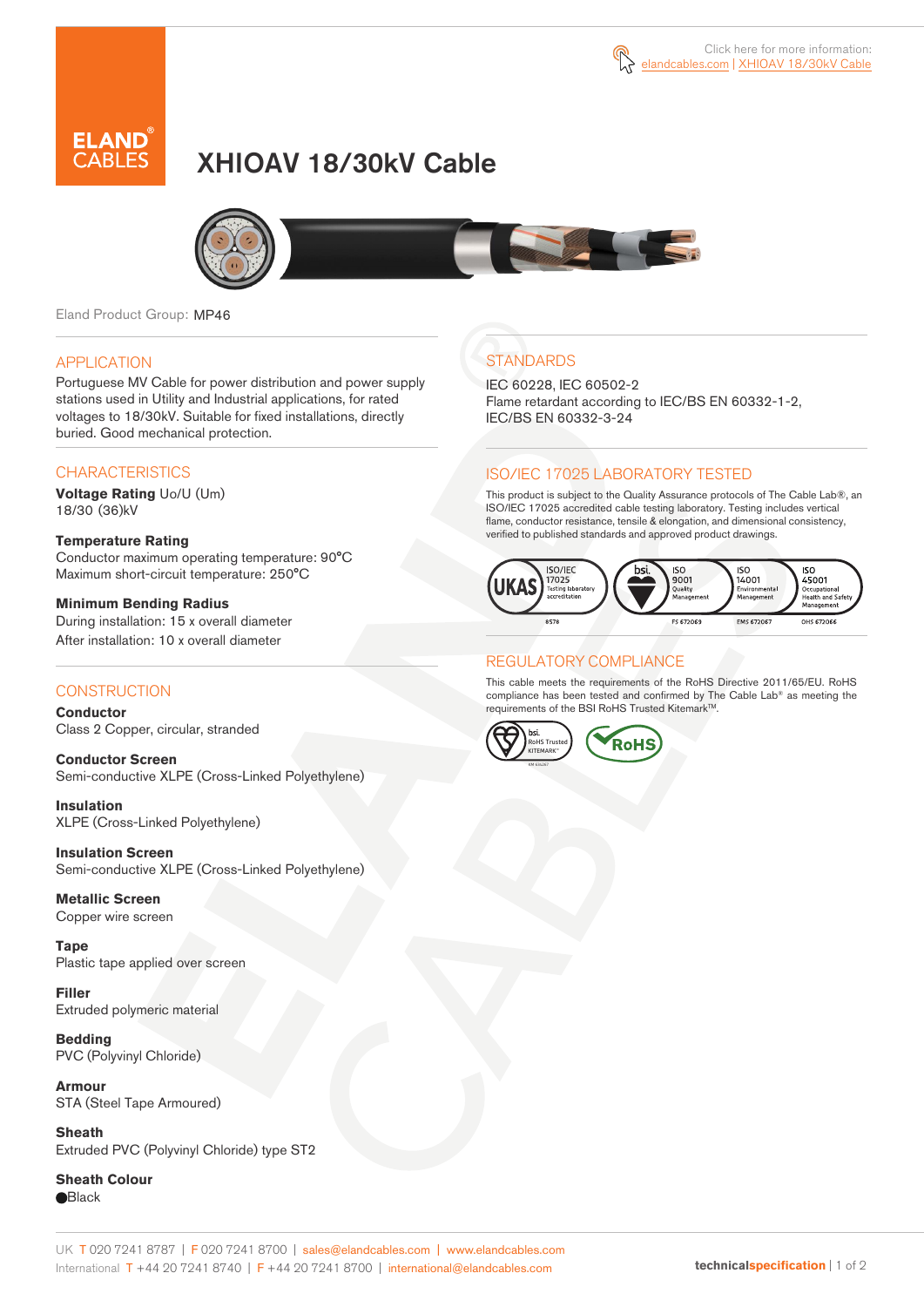

# XHIOAV 18/30kV Cable



Eland Product Group: MP46

#### APPLICATION

Portuguese MV Cable for power distribution and power supply stations used in Utility and Industrial applications, for rated voltages to 18/30kV. Suitable for fixed installations, directly buried. Good mechanical protection.

### **CHARACTERISTICS**

**Voltage Rating** Uo/U (Um) 18/30 (36)kV

**Temperature Rating**  Conductor maximum operating temperature: 90°C Maximum short-circuit temperature: 250°C

**Minimum Bending Radius**  During installation: 15 x overall diameter After installation: 10 x overall diameter

### **CONSTRUCTION**

**Conductor**  Class 2 Copper, circular, stranded

**Conductor Screen** Semi-conductive XLPE (Cross-Linked Polyethylene)

**Insulation** XLPE (Cross-Linked Polyethylene)

**Insulation Screen** Semi-conductive XLPE (Cross-Linked Polyethylene)

**Metallic Screen**  Copper wire screen

**Tape** Plastic tape applied over screen

**Filler** Extruded polymeric material

**Bedding** PVC (Polyvinyl Chloride)

**Armour** STA (Steel Tape Armoured)

**Sheath** Extruded PVC (Polyvinyl Chloride) type ST2

**Sheath Colour Black** 

# **STANDARDS**

IEC 60228, IEC 60502-2 Flame retardant according to IEC/BS EN 60332-1-2, IEC/BS EN 60332-3-24

### ISO/IEC 17025 LABORATORY TESTED

This product is subject to the Quality Assurance protocols of The Cable Lab®, an ISO/IEC 17025 accredited cable testing laboratory. Testing includes vertical flame, conductor resistance, tensile & elongation, and dimensional consistency, verified to published standards and approved product drawings.



### REGULATORY COMPLIANCE

This cable meets the requirements of the RoHS Directive 2011/65/EU. RoHS compliance has been tested and confirmed by The Cable Lab® as meeting the requirements of the BSI RoHS Trusted Kitemark™.